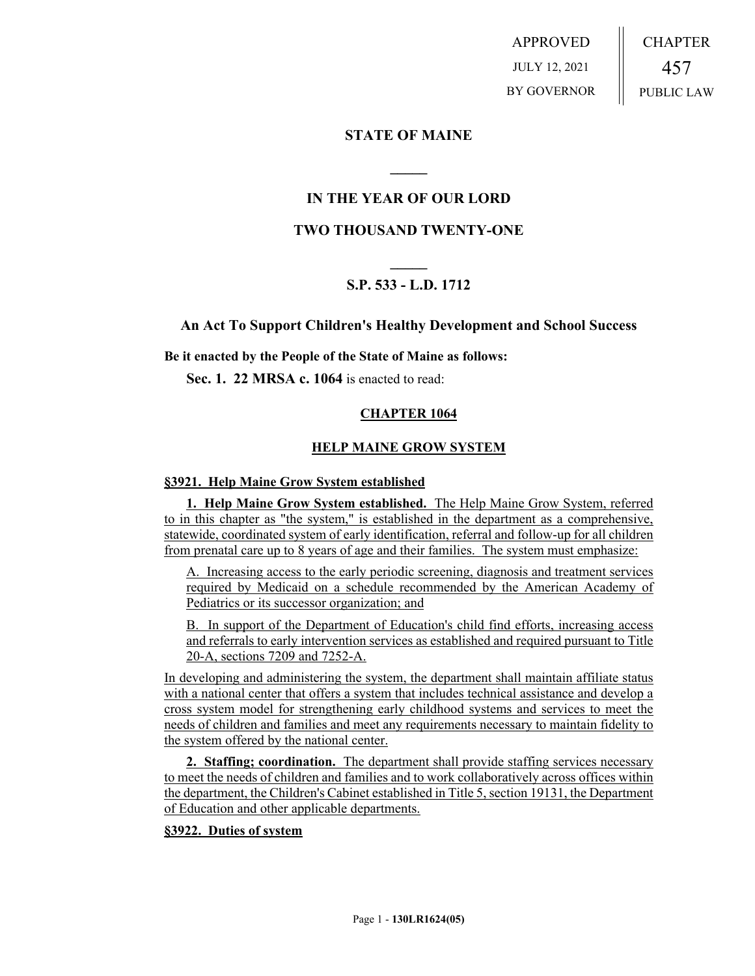APPROVED JULY 12, 2021 BY GOVERNOR CHAPTER 457 PUBLIC LAW

# **STATE OF MAINE**

# **IN THE YEAR OF OUR LORD**

**\_\_\_\_\_**

# **TWO THOUSAND TWENTY-ONE**

# **\_\_\_\_\_ S.P. 533 - L.D. 1712**

## **An Act To Support Children's Healthy Development and School Success**

**Be it enacted by the People of the State of Maine as follows:**

**Sec. 1. 22 MRSA c. 1064** is enacted to read:

## **CHAPTER 1064**

## **HELP MAINE GROW SYSTEM**

#### **§3921. Help Maine Grow System established**

**1. Help Maine Grow System established.** The Help Maine Grow System, referred to in this chapter as "the system," is established in the department as a comprehensive, statewide, coordinated system of early identification, referral and follow-up for all children from prenatal care up to 8 years of age and their families. The system must emphasize:

A. Increasing access to the early periodic screening, diagnosis and treatment services required by Medicaid on a schedule recommended by the American Academy of Pediatrics or its successor organization; and

B. In support of the Department of Education's child find efforts, increasing access and referrals to early intervention services as established and required pursuant to Title 20-A, sections 7209 and 7252-A.

In developing and administering the system, the department shall maintain affiliate status with a national center that offers a system that includes technical assistance and develop a cross system model for strengthening early childhood systems and services to meet the needs of children and families and meet any requirements necessary to maintain fidelity to the system offered by the national center.

**2. Staffing; coordination.** The department shall provide staffing services necessary to meet the needs of children and families and to work collaboratively across offices within the department, the Children's Cabinet established in Title 5, section 19131, the Department of Education and other applicable departments.

#### **§3922. Duties of system**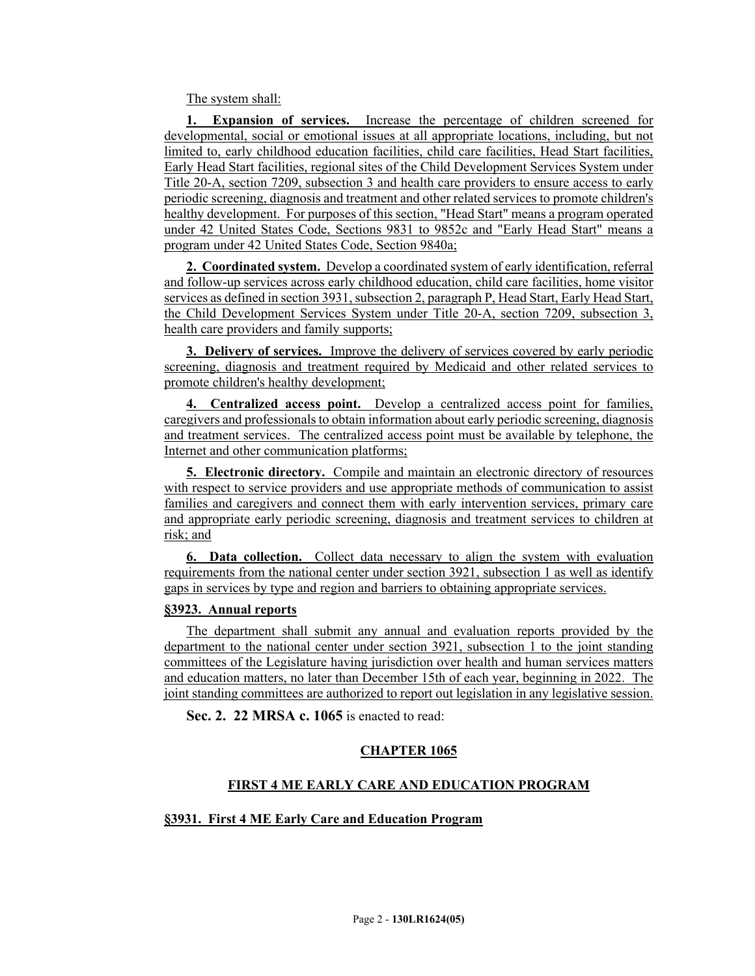The system shall:

**1. Expansion of services.** Increase the percentage of children screened for developmental, social or emotional issues at all appropriate locations, including, but not limited to, early childhood education facilities, child care facilities, Head Start facilities, Early Head Start facilities, regional sites of the Child Development Services System under Title 20-A, section 7209, subsection 3 and health care providers to ensure access to early periodic screening, diagnosis and treatment and other related services to promote children's healthy development. For purposes of this section, "Head Start" means a program operated under 42 United States Code, Sections 9831 to 9852c and "Early Head Start" means a program under 42 United States Code, Section 9840a;

**2. Coordinated system.** Develop a coordinated system of early identification, referral and follow-up services across early childhood education, child care facilities, home visitor services as defined in section 3931, subsection 2, paragraph P, Head Start, Early Head Start, the Child Development Services System under Title 20-A, section 7209, subsection 3, health care providers and family supports;

**3. Delivery of services.** Improve the delivery of services covered by early periodic screening, diagnosis and treatment required by Medicaid and other related services to promote children's healthy development;

**4. Centralized access point.** Develop a centralized access point for families, caregivers and professionals to obtain information about early periodic screening, diagnosis and treatment services. The centralized access point must be available by telephone, the Internet and other communication platforms;

**5. Electronic directory.** Compile and maintain an electronic directory of resources with respect to service providers and use appropriate methods of communication to assist families and caregivers and connect them with early intervention services, primary care and appropriate early periodic screening, diagnosis and treatment services to children at risk; and

**6. Data collection.** Collect data necessary to align the system with evaluation requirements from the national center under section 3921, subsection 1 as well as identify gaps in services by type and region and barriers to obtaining appropriate services.

#### **§3923. Annual reports**

The department shall submit any annual and evaluation reports provided by the department to the national center under section 3921, subsection 1 to the joint standing committees of the Legislature having jurisdiction over health and human services matters and education matters, no later than December 15th of each year, beginning in 2022. The joint standing committees are authorized to report out legislation in any legislative session.

**Sec. 2. 22 MRSA c. 1065** is enacted to read:

#### **CHAPTER 1065**

#### **FIRST 4 ME EARLY CARE AND EDUCATION PROGRAM**

#### **§3931. First 4 ME Early Care and Education Program**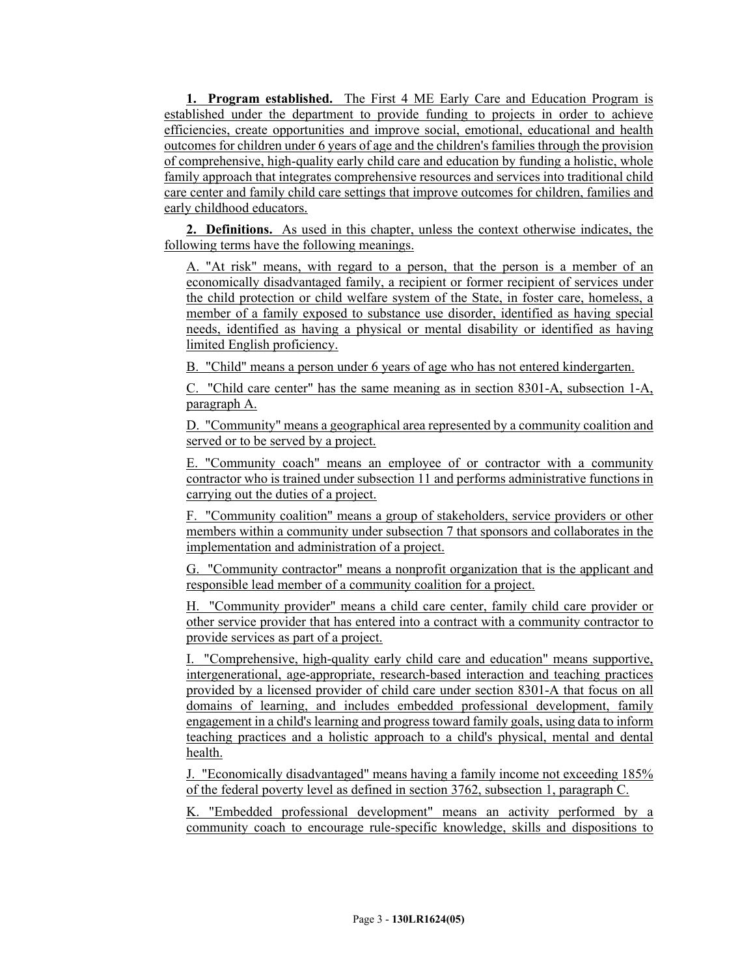**1. Program established.** The First 4 ME Early Care and Education Program is established under the department to provide funding to projects in order to achieve efficiencies, create opportunities and improve social, emotional, educational and health outcomes for children under 6 years of age and the children's families through the provision of comprehensive, high-quality early child care and education by funding a holistic, whole family approach that integrates comprehensive resources and services into traditional child care center and family child care settings that improve outcomes for children, families and early childhood educators.

**2. Definitions.** As used in this chapter, unless the context otherwise indicates, the following terms have the following meanings.

A. "At risk" means, with regard to a person, that the person is a member of an economically disadvantaged family, a recipient or former recipient of services under the child protection or child welfare system of the State, in foster care, homeless, a member of a family exposed to substance use disorder, identified as having special needs, identified as having a physical or mental disability or identified as having limited English proficiency.

B. "Child" means a person under 6 years of age who has not entered kindergarten.

C. "Child care center" has the same meaning as in section 8301-A, subsection 1-A, paragraph A.

D. "Community" means a geographical area represented by a community coalition and served or to be served by a project.

E. "Community coach" means an employee of or contractor with a community contractor who is trained under subsection 11 and performs administrative functions in carrying out the duties of a project.

F. "Community coalition" means a group of stakeholders, service providers or other members within a community under subsection 7 that sponsors and collaborates in the implementation and administration of a project.

G. "Community contractor" means a nonprofit organization that is the applicant and responsible lead member of a community coalition for a project.

H. "Community provider" means a child care center, family child care provider or other service provider that has entered into a contract with a community contractor to provide services as part of a project.

I. "Comprehensive, high-quality early child care and education" means supportive, intergenerational, age-appropriate, research-based interaction and teaching practices provided by a licensed provider of child care under section 8301-A that focus on all domains of learning, and includes embedded professional development, family engagement in a child's learning and progress toward family goals, using data to inform teaching practices and a holistic approach to a child's physical, mental and dental health.

J. "Economically disadvantaged" means having a family income not exceeding 185% of the federal poverty level as defined in section 3762, subsection 1, paragraph C.

K. "Embedded professional development" means an activity performed by a community coach to encourage rule-specific knowledge, skills and dispositions to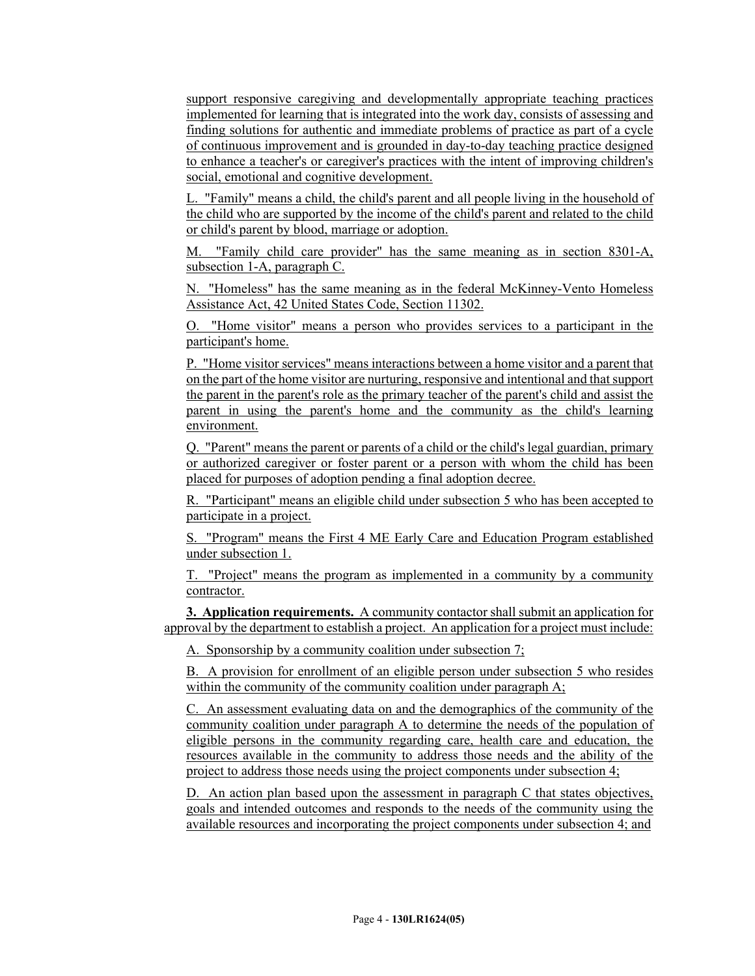support responsive caregiving and developmentally appropriate teaching practices implemented for learning that is integrated into the work day, consists of assessing and finding solutions for authentic and immediate problems of practice as part of a cycle of continuous improvement and is grounded in day-to-day teaching practice designed to enhance a teacher's or caregiver's practices with the intent of improving children's social, emotional and cognitive development.

L. "Family" means a child, the child's parent and all people living in the household of the child who are supported by the income of the child's parent and related to the child or child's parent by blood, marriage or adoption.

M. "Family child care provider" has the same meaning as in section 8301-A, subsection 1-A, paragraph C.

N. "Homeless" has the same meaning as in the federal McKinney-Vento Homeless Assistance Act, 42 United States Code, Section 11302.

O. "Home visitor" means a person who provides services to a participant in the participant's home.

P. "Home visitor services" means interactions between a home visitor and a parent that on the part of the home visitor are nurturing, responsive and intentional and that support the parent in the parent's role as the primary teacher of the parent's child and assist the parent in using the parent's home and the community as the child's learning environment.

Q. "Parent" means the parent or parents of a child or the child's legal guardian, primary or authorized caregiver or foster parent or a person with whom the child has been placed for purposes of adoption pending a final adoption decree.

R. "Participant" means an eligible child under subsection 5 who has been accepted to participate in a project.

S. "Program" means the First 4 ME Early Care and Education Program established under subsection 1.

T. "Project" means the program as implemented in a community by a community contractor.

**3. Application requirements.** A community contactor shall submit an application for approval by the department to establish a project. An application for a project must include:

A. Sponsorship by a community coalition under subsection 7;

B. A provision for enrollment of an eligible person under subsection 5 who resides within the community of the community coalition under paragraph A;

C. An assessment evaluating data on and the demographics of the community of the community coalition under paragraph A to determine the needs of the population of eligible persons in the community regarding care, health care and education, the resources available in the community to address those needs and the ability of the project to address those needs using the project components under subsection 4;

D. An action plan based upon the assessment in paragraph C that states objectives, goals and intended outcomes and responds to the needs of the community using the available resources and incorporating the project components under subsection 4; and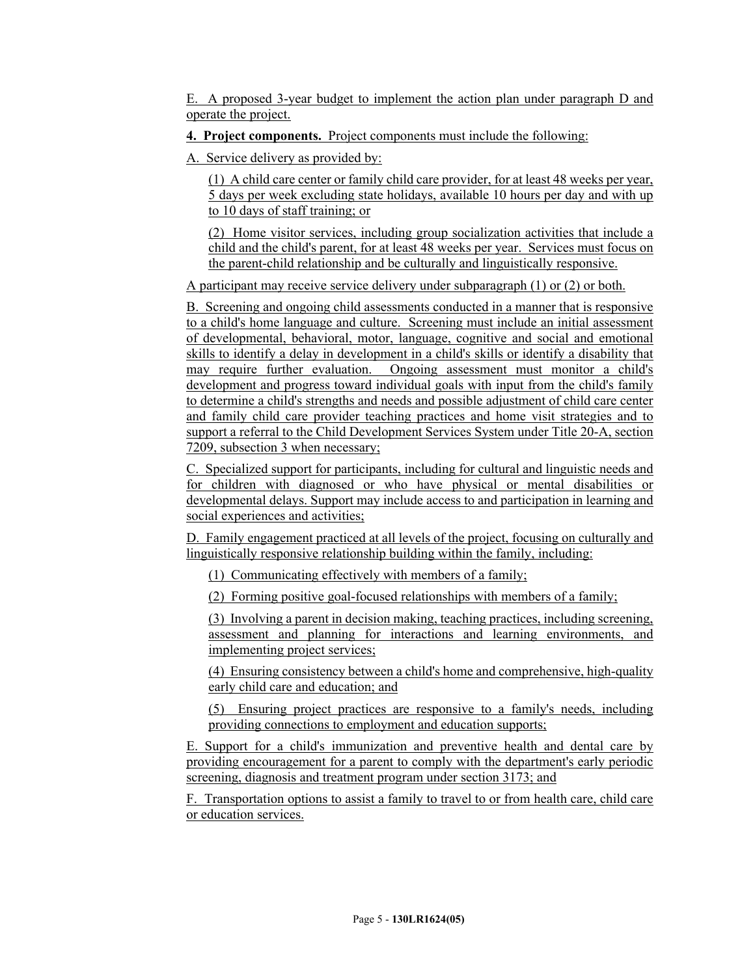E. A proposed 3-year budget to implement the action plan under paragraph D and operate the project.

## **4. Project components.** Project components must include the following:

A. Service delivery as provided by:

(1) A child care center or family child care provider, for at least 48 weeks per year, 5 days per week excluding state holidays, available 10 hours per day and with up to 10 days of staff training; or

(2) Home visitor services, including group socialization activities that include a child and the child's parent, for at least 48 weeks per year. Services must focus on the parent-child relationship and be culturally and linguistically responsive.

A participant may receive service delivery under subparagraph (1) or (2) or both.

B. Screening and ongoing child assessments conducted in a manner that is responsive to a child's home language and culture. Screening must include an initial assessment of developmental, behavioral, motor, language, cognitive and social and emotional skills to identify a delay in development in a child's skills or identify a disability that may require further evaluation. Ongoing assessment must monitor a child's development and progress toward individual goals with input from the child's family to determine a child's strengths and needs and possible adjustment of child care center and family child care provider teaching practices and home visit strategies and to support a referral to the Child Development Services System under Title 20-A, section 7209, subsection 3 when necessary;

C. Specialized support for participants, including for cultural and linguistic needs and for children with diagnosed or who have physical or mental disabilities or developmental delays. Support may include access to and participation in learning and social experiences and activities;

D. Family engagement practiced at all levels of the project, focusing on culturally and linguistically responsive relationship building within the family, including:

(1) Communicating effectively with members of a family;

(2) Forming positive goal-focused relationships with members of a family;

(3) Involving a parent in decision making, teaching practices, including screening, assessment and planning for interactions and learning environments, and implementing project services;

(4) Ensuring consistency between a child's home and comprehensive, high-quality early child care and education; and

(5) Ensuring project practices are responsive to a family's needs, including providing connections to employment and education supports;

E. Support for a child's immunization and preventive health and dental care by providing encouragement for a parent to comply with the department's early periodic screening, diagnosis and treatment program under section 3173; and

F. Transportation options to assist a family to travel to or from health care, child care or education services.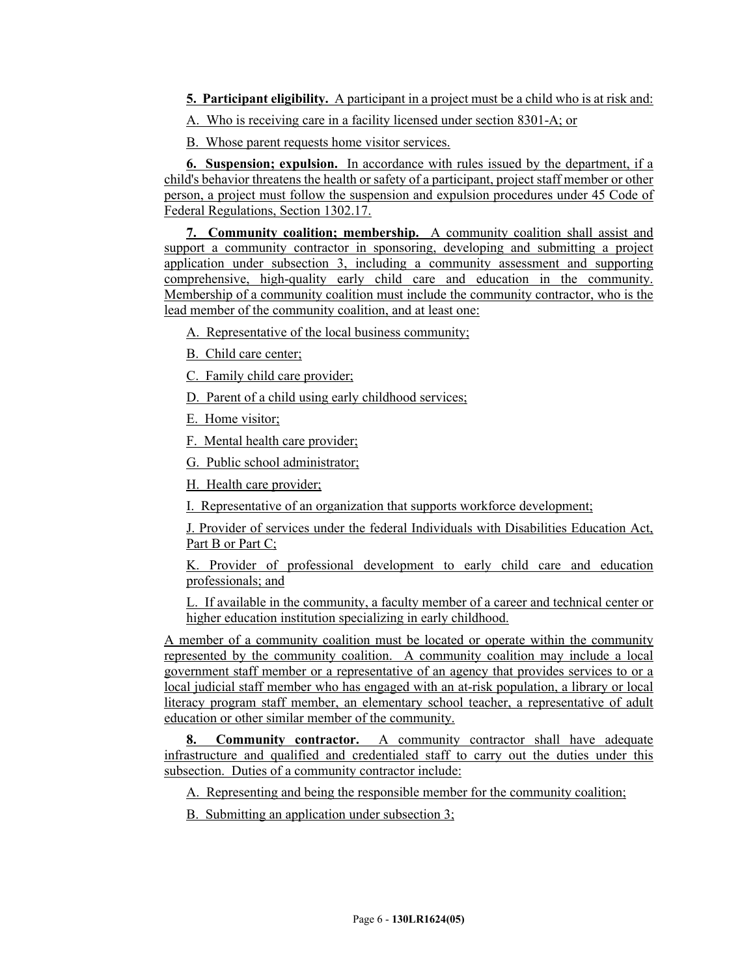- **5. Participant eligibility.** A participant in a project must be a child who is at risk and:
- A. Who is receiving care in a facility licensed under section 8301-A; or

B. Whose parent requests home visitor services.

**6. Suspension; expulsion.** In accordance with rules issued by the department, if a child's behavior threatens the health or safety of a participant, project staff member or other person, a project must follow the suspension and expulsion procedures under 45 Code of Federal Regulations, Section 1302.17.

**7. Community coalition; membership.** A community coalition shall assist and support a community contractor in sponsoring, developing and submitting a project application under subsection 3, including a community assessment and supporting comprehensive, high-quality early child care and education in the community. Membership of a community coalition must include the community contractor, who is the lead member of the community coalition, and at least one:

A. Representative of the local business community;

- B. Child care center;
- C. Family child care provider;
- D. Parent of a child using early childhood services;
- E. Home visitor;
- F. Mental health care provider;
- G. Public school administrator;

H. Health care provider;

I. Representative of an organization that supports workforce development;

J. Provider of services under the federal Individuals with Disabilities Education Act, Part B or Part C;

K. Provider of professional development to early child care and education professionals; and

L. If available in the community, a faculty member of a career and technical center or higher education institution specializing in early childhood.

A member of a community coalition must be located or operate within the community represented by the community coalition. A community coalition may include a local government staff member or a representative of an agency that provides services to or a local judicial staff member who has engaged with an at-risk population, a library or local literacy program staff member, an elementary school teacher, a representative of adult education or other similar member of the community.

**8. Community contractor.** A community contractor shall have adequate infrastructure and qualified and credentialed staff to carry out the duties under this subsection. Duties of a community contractor include:

A. Representing and being the responsible member for the community coalition;

B. Submitting an application under subsection 3;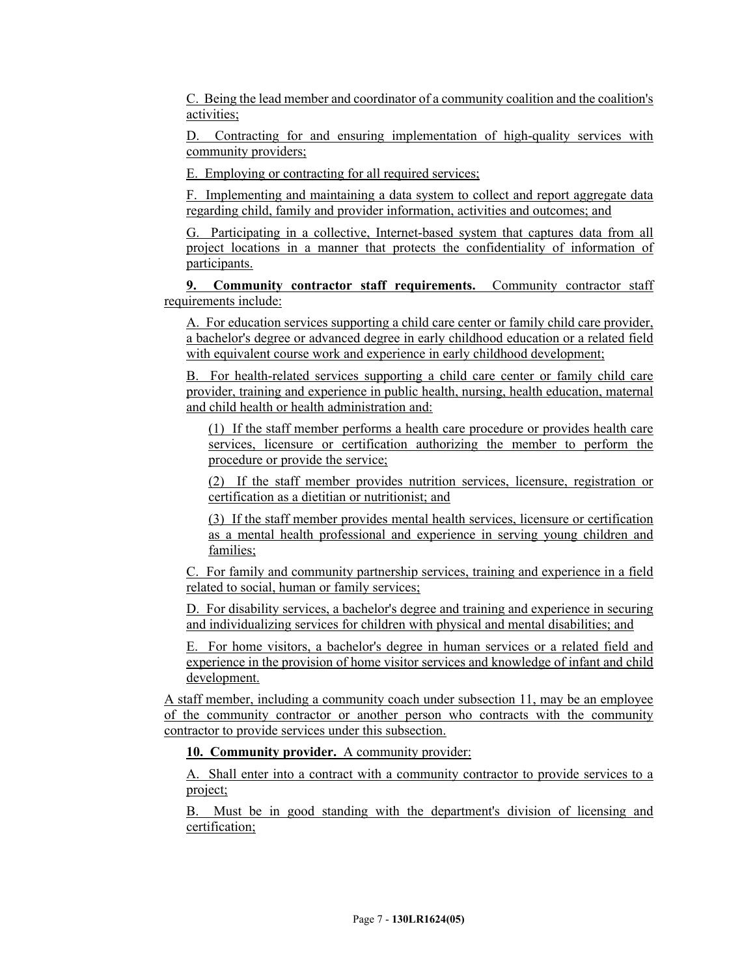C. Being the lead member and coordinator of a community coalition and the coalition's activities;

D. Contracting for and ensuring implementation of high-quality services with community providers;

E. Employing or contracting for all required services;

F. Implementing and maintaining a data system to collect and report aggregate data regarding child, family and provider information, activities and outcomes; and

G. Participating in a collective, Internet-based system that captures data from all project locations in a manner that protects the confidentiality of information of participants.

**9. Community contractor staff requirements.** Community contractor staff requirements include:

A. For education services supporting a child care center or family child care provider, a bachelor's degree or advanced degree in early childhood education or a related field with equivalent course work and experience in early childhood development;

B. For health-related services supporting a child care center or family child care provider, training and experience in public health, nursing, health education, maternal and child health or health administration and:

(1) If the staff member performs a health care procedure or provides health care services, licensure or certification authorizing the member to perform the procedure or provide the service;

(2) If the staff member provides nutrition services, licensure, registration or certification as a dietitian or nutritionist; and

(3) If the staff member provides mental health services, licensure or certification as a mental health professional and experience in serving young children and families;

C. For family and community partnership services, training and experience in a field related to social, human or family services;

D. For disability services, a bachelor's degree and training and experience in securing and individualizing services for children with physical and mental disabilities; and

E. For home visitors, a bachelor's degree in human services or a related field and experience in the provision of home visitor services and knowledge of infant and child development.

A staff member, including a community coach under subsection 11, may be an employee of the community contractor or another person who contracts with the community contractor to provide services under this subsection.

**10. Community provider.** A community provider:

A. Shall enter into a contract with a community contractor to provide services to a project;

B. Must be in good standing with the department's division of licensing and certification;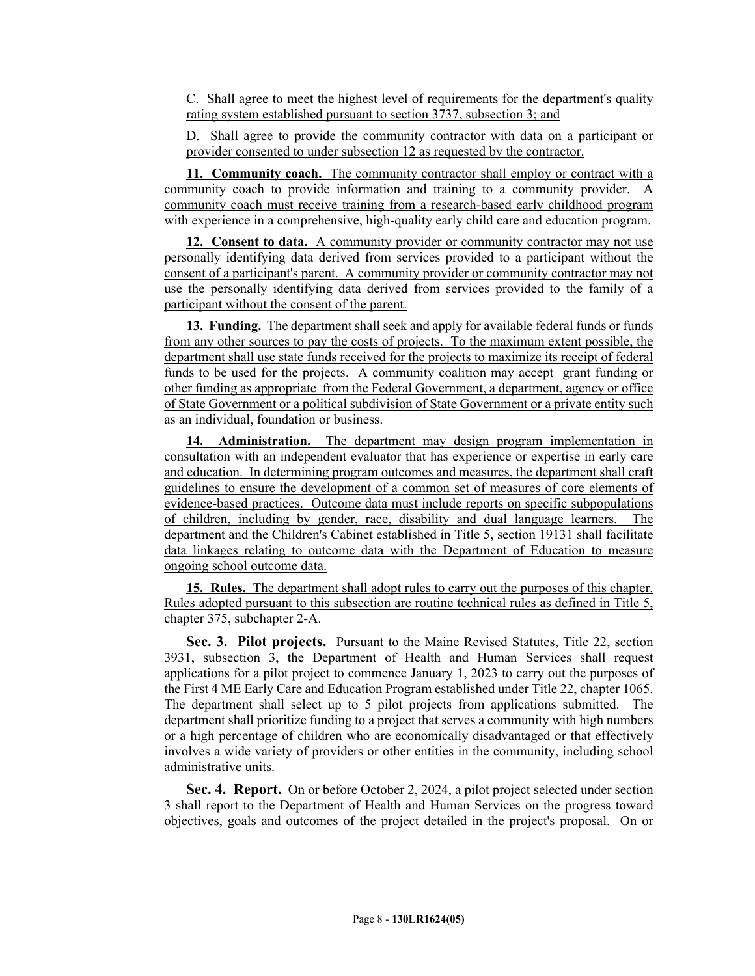C. Shall agree to meet the highest level of requirements for the department's quality rating system established pursuant to section 3737, subsection 3; and

D. Shall agree to provide the community contractor with data on a participant or provider consented to under subsection 12 as requested by the contractor.

**11. Community coach.** The community contractor shall employ or contract with a community coach to provide information and training to a community provider. A community coach must receive training from a research-based early childhood program with experience in a comprehensive, high-quality early child care and education program.

**12. Consent to data.** A community provider or community contractor may not use personally identifying data derived from services provided to a participant without the consent of a participant's parent. A community provider or community contractor may not use the personally identifying data derived from services provided to the family of a participant without the consent of the parent.

**13. Funding.** The department shall seek and apply for available federal funds or funds from any other sources to pay the costs of projects. To the maximum extent possible, the department shall use state funds received for the projects to maximize its receipt of federal funds to be used for the projects. A community coalition may accept grant funding or other funding as appropriate from the Federal Government, a department, agency or office of State Government or a political subdivision of State Government or a private entity such as an individual, foundation or business.

**14. Administration.** The department may design program implementation in consultation with an independent evaluator that has experience or expertise in early care and education. In determining program outcomes and measures, the department shall craft guidelines to ensure the development of a common set of measures of core elements of evidence-based practices. Outcome data must include reports on specific subpopulations of children, including by gender, race, disability and dual language learners. The department and the Children's Cabinet established in Title 5, section 19131 shall facilitate data linkages relating to outcome data with the Department of Education to measure ongoing school outcome data.

**15. Rules.** The department shall adopt rules to carry out the purposes of this chapter. Rules adopted pursuant to this subsection are routine technical rules as defined in Title 5, chapter 375, subchapter 2-A.

**Sec. 3. Pilot projects.** Pursuant to the Maine Revised Statutes, Title 22, section 3931, subsection 3, the Department of Health and Human Services shall request applications for a pilot project to commence January 1, 2023 to carry out the purposes of the First 4 ME Early Care and Education Program established under Title 22, chapter 1065. The department shall select up to 5 pilot projects from applications submitted. The department shall prioritize funding to a project that serves a community with high numbers or a high percentage of children who are economically disadvantaged or that effectively involves a wide variety of providers or other entities in the community, including school administrative units.

**Sec. 4. Report.** On or before October 2, 2024, a pilot project selected under section 3 shall report to the Department of Health and Human Services on the progress toward objectives, goals and outcomes of the project detailed in the project's proposal. On or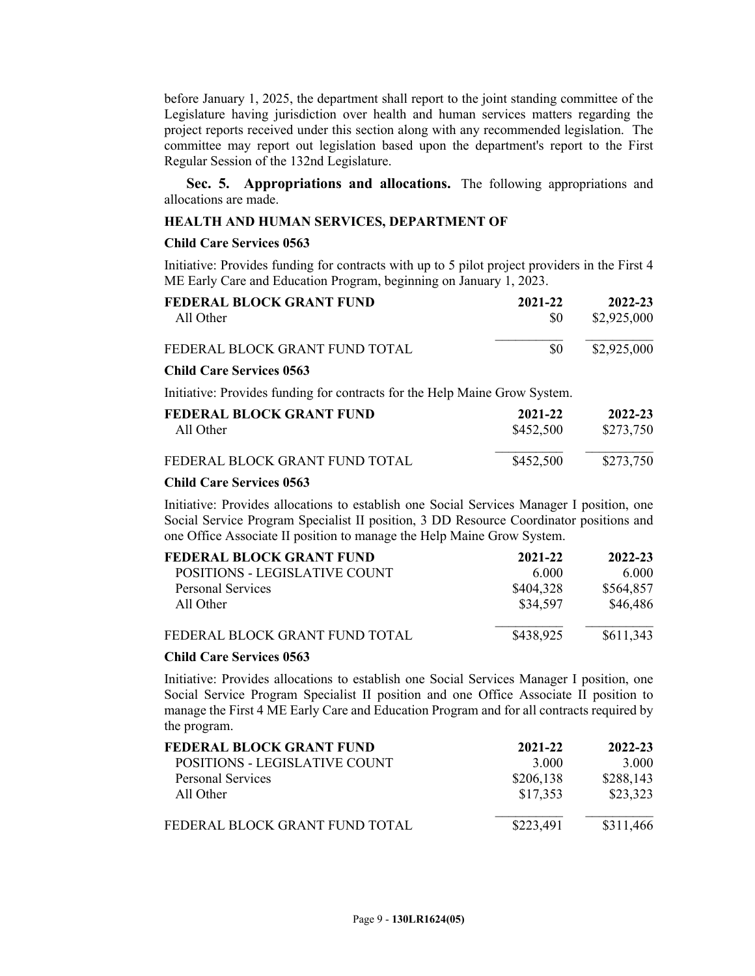before January 1, 2025, the department shall report to the joint standing committee of the Legislature having jurisdiction over health and human services matters regarding the project reports received under this section along with any recommended legislation. The committee may report out legislation based upon the department's report to the First Regular Session of the 132nd Legislature.

**Sec. 5. Appropriations and allocations.** The following appropriations and allocations are made.

#### **HEALTH AND HUMAN SERVICES, DEPARTMENT OF**

#### **Child Care Services 0563**

Initiative: Provides funding for contracts with up to 5 pilot project providers in the First 4 ME Early Care and Education Program, beginning on January 1, 2023.

| FEDERAL BLOCK GRANT FUND                                                   | 2021-22   | 2022-23     |
|----------------------------------------------------------------------------|-----------|-------------|
| All Other                                                                  | \$0       | \$2,925,000 |
| FEDERAL BLOCK GRANT FUND TOTAL                                             | \$0       | \$2,925,000 |
| <b>Child Care Services 0563</b>                                            |           |             |
| Initiative: Provides funding for contracts for the Help Maine Grow System. |           |             |
| FEDERAL BLOCK GRANT FUND                                                   | 2021-22   | 2022-23     |
| All Other                                                                  | \$452,500 | \$273,750   |
| FEDERAL BLOCK GRANT FUND TOTAL                                             | \$452,500 | \$273,750   |
|                                                                            |           |             |

#### **Child Care Services 0563**

Initiative: Provides allocations to establish one Social Services Manager I position, one Social Service Program Specialist II position, 3 DD Resource Coordinator positions and one Office Associate II position to manage the Help Maine Grow System.

| FEDERAL BLOCK GRANT FUND       | 2021-22   | 2022-23   |
|--------------------------------|-----------|-----------|
| POSITIONS - LEGISLATIVE COUNT  | 6.000     | 6.000     |
| <b>Personal Services</b>       | \$404,328 | \$564,857 |
| All Other                      | \$34,597  | \$46,486  |
| FEDERAL BLOCK GRANT FUND TOTAL | \$438,925 | \$611,343 |

#### **Child Care Services 0563**

Initiative: Provides allocations to establish one Social Services Manager I position, one Social Service Program Specialist II position and one Office Associate II position to manage the First 4 ME Early Care and Education Program and for all contracts required by the program.

| FEDERAL BLOCK GRANT FUND       | 2021-22   | 2022-23   |
|--------------------------------|-----------|-----------|
| POSITIONS - LEGISLATIVE COUNT  | 3 000     | 3.000     |
| <b>Personal Services</b>       | \$206,138 | \$288,143 |
| All Other                      | \$17,353  | \$23,323  |
| FEDERAL BLOCK GRANT FUND TOTAL | \$223,491 | \$311,466 |